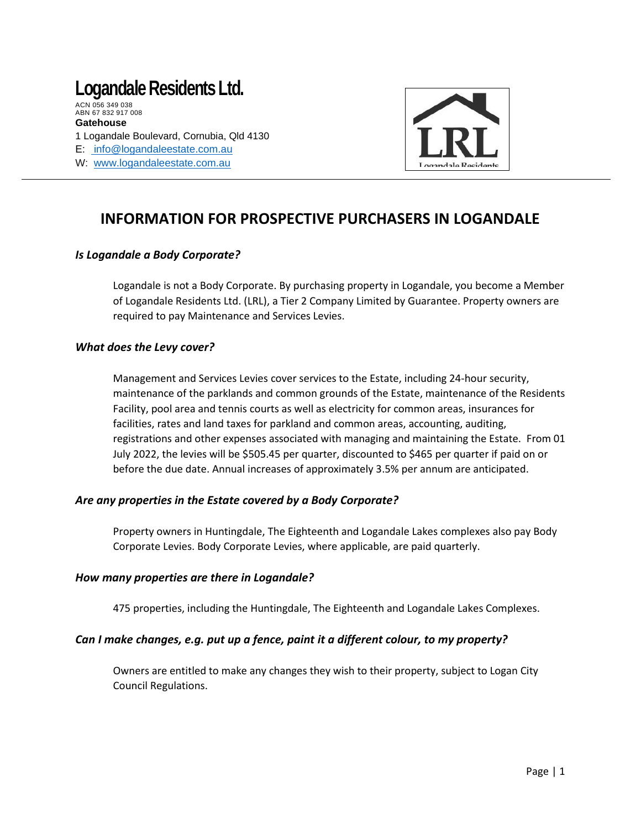# **Logandale Residents Ltd.**

ACN 056 349 038 ABN 67 832 917 008 **Gatehouse** 1 Logandale Boulevard, Cornubia, Qld 4130 [E: info@logandaleestate.com.au](mailto:E:%20%20%20info@logandaleestate.com.au) W: [www.logandaleestate.com.au](http://www.logandaleestate.com.au/)



# **INFORMATION FOR PROSPECTIVE PURCHASERS IN LOGANDALE**

# *Is Logandale a Body Corporate?*

Logandale is not a Body Corporate. By purchasing property in Logandale, you become a Member of Logandale Residents Ltd. (LRL), a Tier 2 Company Limited by Guarantee. Property owners are required to pay Maintenance and Services Levies.

#### *What does the Levy cover?*

Management and Services Levies cover services to the Estate, including 24-hour security, maintenance of the parklands and common grounds of the Estate, maintenance of the Residents Facility, pool area and tennis courts as well as electricity for common areas, insurances for facilities, rates and land taxes for parkland and common areas, accounting, auditing, registrations and other expenses associated with managing and maintaining the Estate. From 01 July 2022, the levies will be \$505.45 per quarter, discounted to \$465 per quarter if paid on or before the due date. Annual increases of approximately 3.5% per annum are anticipated.

# *Are any properties in the Estate covered by a Body Corporate?*

Property owners in Huntingdale, The Eighteenth and Logandale Lakes complexes also pay Body Corporate Levies. Body Corporate Levies, where applicable, are paid quarterly.

# *How many properties are there in Logandale?*

475 properties, including the Huntingdale, The Eighteenth and Logandale Lakes Complexes.

# *Can I make changes, e.g. put up a fence, paint it a different colour, to my property?*

Owners are entitled to make any changes they wish to their property, subject to Logan City Council Regulations.